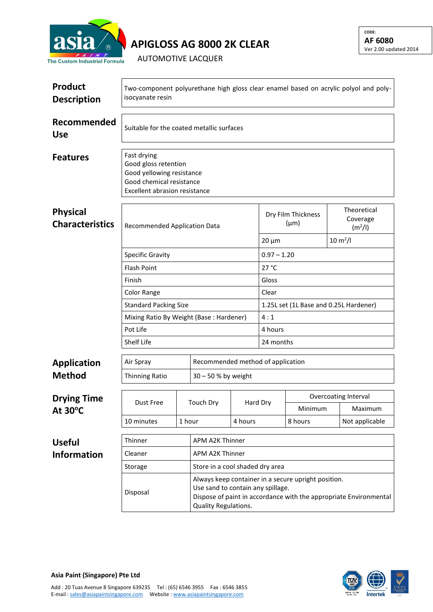

**APIGLOSS AG 8000 2K CLEAR**

AUTOMOTIVE LACQUER

| <b>Product</b><br><b>Description</b>      | Two-component polyurethane high gloss clear enamel based on acrylic polyol and poly-<br>isocyanate resin                      |                 |                                                                                                                                                                                       |               |                                 |                       |  |                                                |  |
|-------------------------------------------|-------------------------------------------------------------------------------------------------------------------------------|-----------------|---------------------------------------------------------------------------------------------------------------------------------------------------------------------------------------|---------------|---------------------------------|-----------------------|--|------------------------------------------------|--|
| Recommended<br><b>Use</b>                 | Suitable for the coated metallic surfaces                                                                                     |                 |                                                                                                                                                                                       |               |                                 |                       |  |                                                |  |
| <b>Features</b>                           | Fast drying<br>Good gloss retention<br>Good yellowing resistance<br>Good chemical resistance<br>Excellent abrasion resistance |                 |                                                                                                                                                                                       |               |                                 |                       |  |                                                |  |
| <b>Physical</b><br><b>Characteristics</b> | Recommended Application Data                                                                                                  |                 |                                                                                                                                                                                       |               | Dry Film Thickness<br>$(\mu m)$ |                       |  | Theoretical<br>Coverage<br>(m <sup>2</sup> /I) |  |
|                                           |                                                                                                                               |                 |                                                                                                                                                                                       |               | $20 \mu m$                      | $10 \, \text{m}^2$ /l |  |                                                |  |
|                                           | <b>Specific Gravity</b>                                                                                                       |                 |                                                                                                                                                                                       | $0.97 - 1.20$ |                                 |                       |  |                                                |  |
|                                           | <b>Flash Point</b><br>Finish                                                                                                  |                 |                                                                                                                                                                                       |               | 27 °C<br>Gloss                  |                       |  |                                                |  |
|                                           | Color Range                                                                                                                   |                 | Clear                                                                                                                                                                                 |               |                                 |                       |  |                                                |  |
|                                           | <b>Standard Packing Size</b>                                                                                                  |                 | 1.25L set (1L Base and 0.25L Hardener)                                                                                                                                                |               |                                 |                       |  |                                                |  |
|                                           | Mixing Ratio By Weight (Base: Hardener)                                                                                       |                 | 4:1                                                                                                                                                                                   |               |                                 |                       |  |                                                |  |
|                                           | Pot Life                                                                                                                      |                 | 4 hours                                                                                                                                                                               |               |                                 |                       |  |                                                |  |
|                                           | Shelf Life                                                                                                                    |                 | 24 months                                                                                                                                                                             |               |                                 |                       |  |                                                |  |
| <b>Application</b>                        | Air Spray                                                                                                                     |                 | Recommended method of application                                                                                                                                                     |               |                                 |                       |  |                                                |  |
| <b>Method</b>                             | Thinning Ratio                                                                                                                |                 | 30 - 50 % by weight                                                                                                                                                                   |               |                                 |                       |  |                                                |  |
|                                           |                                                                                                                               |                 |                                                                                                                                                                                       |               |                                 |                       |  |                                                |  |
| <b>Drying Time</b>                        | Dust Free<br>10 minutes<br>1 hour                                                                                             |                 | <b>Touch Dry</b>                                                                                                                                                                      |               | Hard Dry                        |                       |  | <b>Overcoating Interval</b>                    |  |
| At $30^{\circ}$ C                         |                                                                                                                               |                 |                                                                                                                                                                                       |               |                                 | Minimum               |  | Maximum                                        |  |
|                                           |                                                                                                                               |                 |                                                                                                                                                                                       | 4 hours       |                                 | 8 hours               |  | Not applicable                                 |  |
| <b>Useful</b>                             | Thinner                                                                                                                       | APM A2K Thinner |                                                                                                                                                                                       |               |                                 |                       |  |                                                |  |
| <b>Information</b>                        | APM A2K Thinner<br>Cleaner                                                                                                    |                 |                                                                                                                                                                                       |               |                                 |                       |  |                                                |  |
|                                           | Store in a cool shaded dry area<br>Storage                                                                                    |                 |                                                                                                                                                                                       |               |                                 |                       |  |                                                |  |
|                                           | Disposal                                                                                                                      |                 | Always keep container in a secure upright position.<br>Use sand to contain any spillage.<br>Dispose of paint in accordance with the appropriate Environmental<br>Quality Regulations. |               |                                 |                       |  |                                                |  |